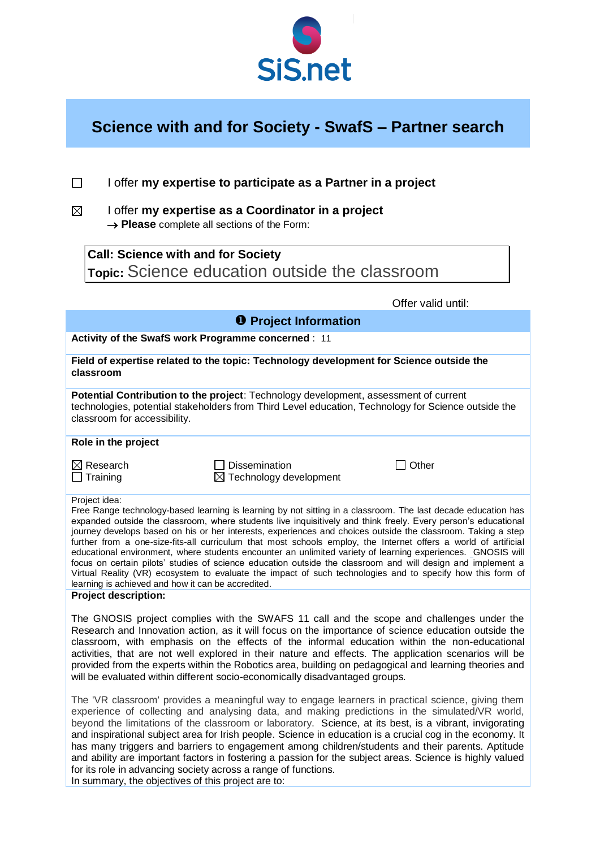

## **Science with and for Society - SwafS – Partner search**

|   | I offer my expertise to participate as a Partner in a project                                                 |
|---|---------------------------------------------------------------------------------------------------------------|
| M | I offer my expertise as a Coordinator in a project<br>$\rightarrow$ Please complete all sections of the Form: |
|   |                                                                                                               |

**Call: Science with and for Society Topic:** Science education outside the classroom

|                                                                                                                                                                                                                             |                                                                             | Offer valid until:                                                                                                                                                                                                                                                                                                                                                                                                                                                                                                                                                                                                                                                                                                                                                                                              |  |  |  |
|-----------------------------------------------------------------------------------------------------------------------------------------------------------------------------------------------------------------------------|-----------------------------------------------------------------------------|-----------------------------------------------------------------------------------------------------------------------------------------------------------------------------------------------------------------------------------------------------------------------------------------------------------------------------------------------------------------------------------------------------------------------------------------------------------------------------------------------------------------------------------------------------------------------------------------------------------------------------------------------------------------------------------------------------------------------------------------------------------------------------------------------------------------|--|--|--|
|                                                                                                                                                                                                                             | <b>O</b> Project Information                                                |                                                                                                                                                                                                                                                                                                                                                                                                                                                                                                                                                                                                                                                                                                                                                                                                                 |  |  |  |
| Activity of the SwafS work Programme concerned : 11                                                                                                                                                                         |                                                                             |                                                                                                                                                                                                                                                                                                                                                                                                                                                                                                                                                                                                                                                                                                                                                                                                                 |  |  |  |
| Field of expertise related to the topic: Technology development for Science outside the<br>classroom                                                                                                                        |                                                                             |                                                                                                                                                                                                                                                                                                                                                                                                                                                                                                                                                                                                                                                                                                                                                                                                                 |  |  |  |
| Potential Contribution to the project: Technology development, assessment of current<br>technologies, potential stakeholders from Third Level education, Technology for Science outside the<br>classroom for accessibility. |                                                                             |                                                                                                                                                                                                                                                                                                                                                                                                                                                                                                                                                                                                                                                                                                                                                                                                                 |  |  |  |
| Role in the project                                                                                                                                                                                                         |                                                                             |                                                                                                                                                                                                                                                                                                                                                                                                                                                                                                                                                                                                                                                                                                                                                                                                                 |  |  |  |
| $\boxtimes$ Research<br>Training                                                                                                                                                                                            | <b>Dissemination</b><br>$\boxtimes$ Technology development                  | Other                                                                                                                                                                                                                                                                                                                                                                                                                                                                                                                                                                                                                                                                                                                                                                                                           |  |  |  |
| Project idea:<br>learning is achieved and how it can be accredited.                                                                                                                                                         |                                                                             | Free Range technology-based learning is learning by not sitting in a classroom. The last decade education has<br>expanded outside the classroom, where students live inquisitively and think freely. Every person's educational<br>journey develops based on his or her interests, experiences and choices outside the classroom. Taking a step<br>further from a one-size-fits-all curriculum that most schools employ, the Internet offers a world of artificial<br>educational environment, where students encounter an unlimited variety of learning experiences. _GNOSIS will<br>focus on certain pilots' studies of science education outside the classroom and will design and implement a<br>Virtual Reality (VR) ecosystem to evaluate the impact of such technologies and to specify how this form of |  |  |  |
| <b>Project description:</b>                                                                                                                                                                                                 |                                                                             |                                                                                                                                                                                                                                                                                                                                                                                                                                                                                                                                                                                                                                                                                                                                                                                                                 |  |  |  |
|                                                                                                                                                                                                                             | will be evaluated within different socio-economically disadvantaged groups. | The GNOSIS project complies with the SWAFS 11 call and the scope and challenges under the<br>Research and Innovation action, as it will focus on the importance of science education outside the<br>classroom, with emphasis on the effects of the informal education within the non-educational<br>activities, that are not well explored in their nature and effects. The application scenarios will be<br>provided from the experts within the Robotics area, building on pedagogical and learning theories and                                                                                                                                                                                                                                                                                              |  |  |  |
| for its role in advancing society across a range of functions.<br>In summary, the objectives of this project are to:                                                                                                        |                                                                             | The 'VR classroom' provides a meaningful way to engage learners in practical science, giving them<br>experience of collecting and analysing data, and making predictions in the simulated/VR world,<br>beyond the limitations of the classroom or laboratory. Science, at its best, is a vibrant, invigorating<br>and inspirational subject area for Irish people. Science in education is a crucial cog in the economy. It<br>has many triggers and barriers to engagement among children/students and their parents. Aptitude<br>and ability are important factors in fostering a passion for the subject areas. Science is highly valued                                                                                                                                                                     |  |  |  |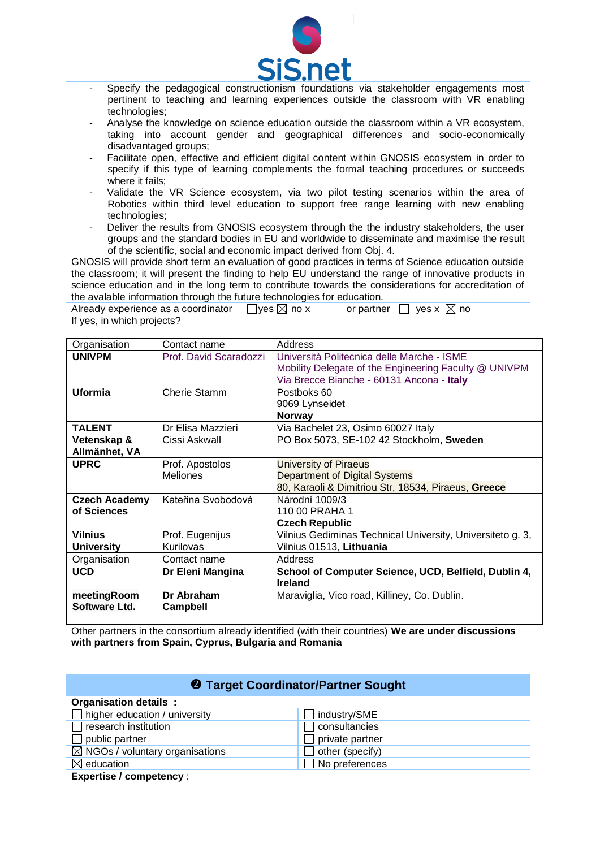

- $\overline{a}$ - Specify the pedagogical constructionism foundations via stakeholder engagements most pertinent to teaching and learning experiences outside the classroom with VR enabling technologies;
- Analyse the knowledge on science education outside the classroom within a VR ecosystem, taking into account gender and geographical differences and socio-economically disadvantaged groups;
- Facilitate open, effective and efficient digital content within GNOSIS ecosystem in order to specify if this type of learning complements the formal teaching procedures or succeeds where it fails:
- Validate the VR Science ecosystem, via two pilot testing scenarios within the area of Robotics within third level education to support free range learning with new enabling technologies;
- Deliver the results from GNOSIS ecosystem through the the industry stakeholders, the user groups and the standard bodies in EU and worldwide to disseminate and maximise the result of the scientific, social and economic impact derived from Obj. 4.

GNOSIS will provide short term an evaluation of good practices in terms of Science education outside the classroom; it will present the finding to help EU understand the range of innovative products in science education and in the long term to contribute towards the considerations for accreditation of the avalable information through the future technologies for education.

Already experience as a coordinator  $\Box$  yes  $\boxtimes$  no x or partner  $\Box$  yes x  $\boxtimes$  no If yes, in which projects?

| Organisation                        | Contact name                       | Address                                                                                                                                          |
|-------------------------------------|------------------------------------|--------------------------------------------------------------------------------------------------------------------------------------------------|
| <b>UNIVPM</b>                       | Prof. David Scaradozzi             | Università Politecnica delle Marche - ISME<br>Mobility Delegate of the Engineering Faculty @ UNIVPM<br>Via Brecce Bianche - 60131 Ancona - Italy |
| <b>Uformia</b>                      | Cherie Stamm                       | Postboks 60<br>9069 Lynseidet<br><b>Norway</b>                                                                                                   |
| <b>TALENT</b>                       | Dr Elisa Mazzieri                  | Via Bachelet 23, Osimo 60027 Italy                                                                                                               |
| Vetenskap &<br>Allmänhet, VA        | Cissi Askwall                      | PO Box 5073, SE-102 42 Stockholm, Sweden                                                                                                         |
| <b>UPRC</b>                         | Prof. Apostolos<br><b>Meliones</b> | University of Piraeus<br>Department of Digital Systems<br>80, Karaoli & Dimitriou Str, 18534, Piraeus, Greece                                    |
| <b>Czech Academy</b><br>of Sciences | Kateřina Svobodová                 | Národní 1009/3<br>110 00 PRAHA 1<br><b>Czech Republic</b>                                                                                        |
| <b>Vilnius</b><br><b>University</b> | Prof. Eugenijus<br>Kurilovas       | Vilnius Gediminas Technical University, Universiteto g. 3,<br>Vilnius 01513, Lithuania                                                           |
| Organisation                        | Contact name                       | Address                                                                                                                                          |
| <b>UCD</b>                          | Dr Eleni Mangina                   | School of Computer Science, UCD, Belfield, Dublin 4,<br><b>Ireland</b>                                                                           |
| meetingRoom<br>Software Ltd.        | Dr Abraham<br><b>Campbell</b>      | Maraviglia, Vico road, Killiney, Co. Dublin.                                                                                                     |

Other partners in the consortium already identified (with their countries) **We are under discussions with partners from Spain, Cyprus, Bulgaria and Romania**

| <b>2</b> Target Coordinator/Partner Sought |                       |  |  |  |  |  |
|--------------------------------------------|-----------------------|--|--|--|--|--|
| Organisation details:                      |                       |  |  |  |  |  |
| $\Box$ higher education / university       | industry/SME          |  |  |  |  |  |
| $\Box$ research institution                | consultancies         |  |  |  |  |  |
| $\Box$ public partner                      | private partner       |  |  |  |  |  |
| $\boxtimes$ NGOs / voluntary organisations | other (specify)       |  |  |  |  |  |
| $\boxtimes$ education                      | $\Box$ No preferences |  |  |  |  |  |
| <b>Expertise / competency:</b>             |                       |  |  |  |  |  |